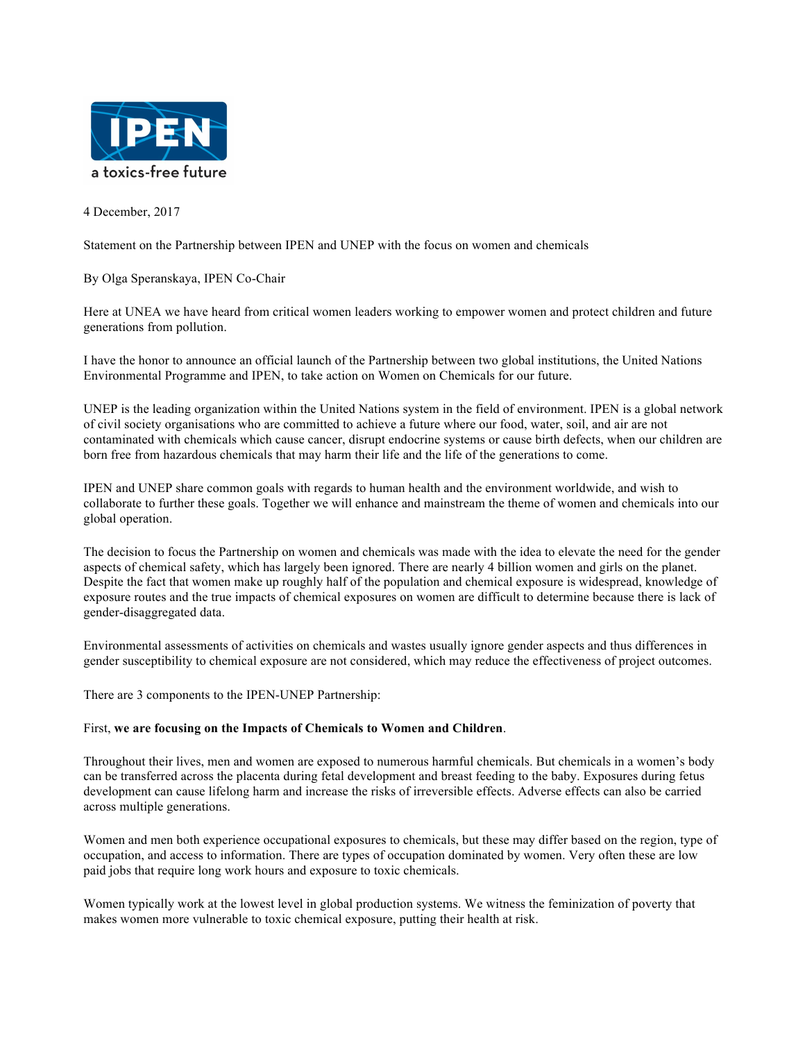

4 December, 2017

Statement on the Partnership between IPEN and UNEP with the focus on women and chemicals

By Olga Speranskaya, IPEN Co-Chair

Here at UNEA we have heard from critical women leaders working to empower women and protect children and future generations from pollution.

I have the honor to announce an official launch of the Partnership between two global institutions, the United Nations Environmental Programme and IPEN, to take action on Women on Chemicals for our future.

UNEP is the leading organization within the United Nations system in the field of environment. IPEN is a global network of civil society organisations who are committed to achieve a future where our food, water, soil, and air are not contaminated with chemicals which cause cancer, disrupt endocrine systems or cause birth defects, when our children are born free from hazardous chemicals that may harm their life and the life of the generations to come.

IPEN and UNEP share common goals with regards to human health and the environment worldwide, and wish to collaborate to further these goals. Together we will enhance and mainstream the theme of women and chemicals into our global operation.

The decision to focus the Partnership on women and chemicals was made with the idea to elevate the need for the gender aspects of chemical safety, which has largely been ignored. There are nearly 4 billion women and girls on the planet. Despite the fact that women make up roughly half of the population and chemical exposure is widespread, knowledge of exposure routes and the true impacts of chemical exposures on women are difficult to determine because there is lack of gender-disaggregated data.

Environmental assessments of activities on chemicals and wastes usually ignore gender aspects and thus differences in gender susceptibility to chemical exposure are not considered, which may reduce the effectiveness of project outcomes.

There are 3 components to the IPEN-UNEP Partnership:

## First, **we are focusing on the Impacts of Chemicals to Women and Children**.

Throughout their lives, men and women are exposed to numerous harmful chemicals. But chemicals in a women's body can be transferred across the placenta during fetal development and breast feeding to the baby. Exposures during fetus development can cause lifelong harm and increase the risks of irreversible effects. Adverse effects can also be carried across multiple generations.

Women and men both experience occupational exposures to chemicals, but these may differ based on the region, type of occupation, and access to information. There are types of occupation dominated by women. Very often these are low paid jobs that require long work hours and exposure to toxic chemicals.

Women typically work at the lowest level in global production systems. We witness the feminization of poverty that makes women more vulnerable to toxic chemical exposure, putting their health at risk.